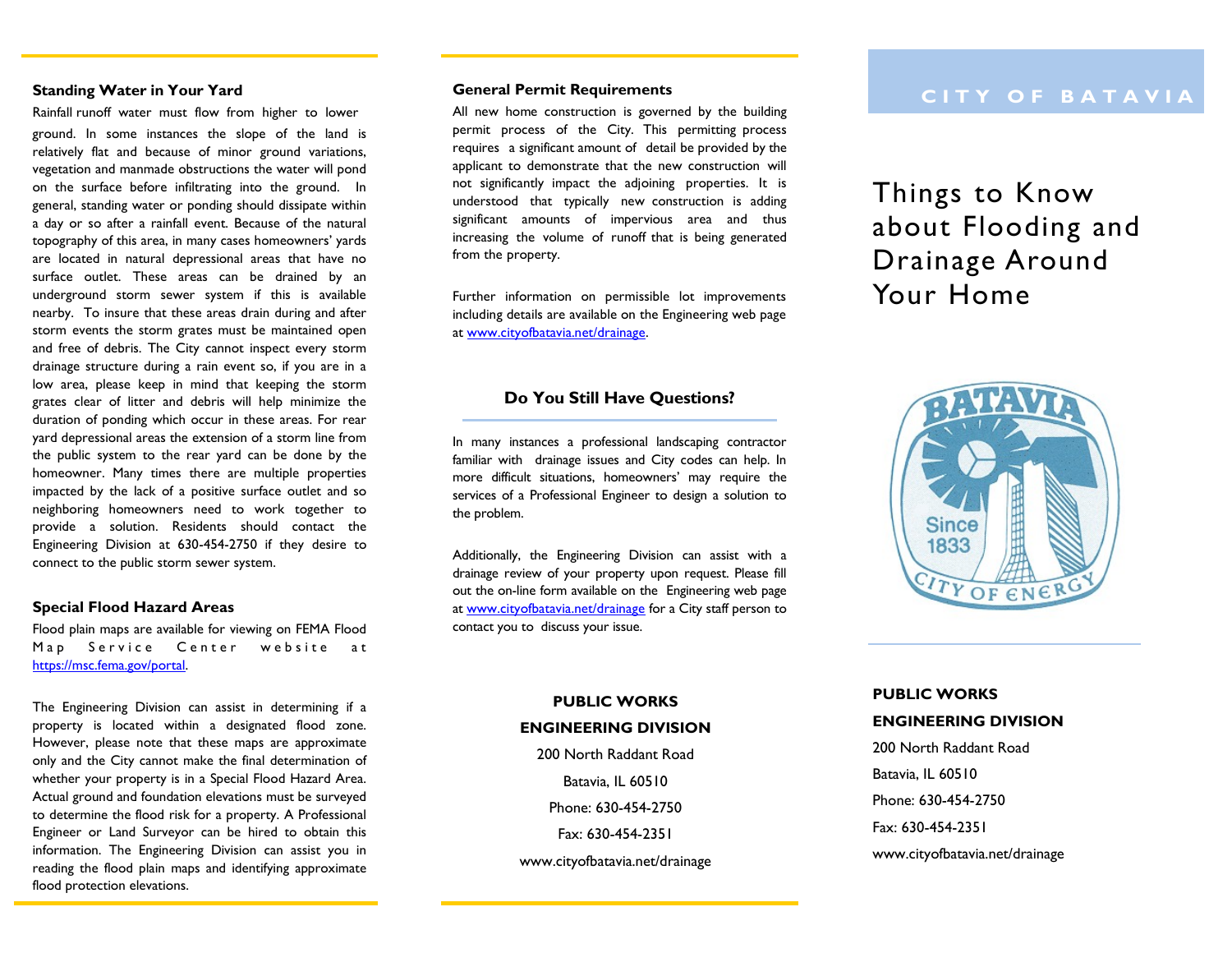#### **Standing Water in Your Yard**

Rainfall runoff water must flow from higher to lower ground. In some instances the slope of the land is relatively flat and because of minor ground variations, vegetation and manmade obstructions the water will pond on the surface before infiltrating into the ground. In general, standing water or ponding should dissipate within a day or so after a rainfall event. Because of the natural topography of this area, in many cases homeowners' yards are located in natural depressional areas that have no surface outlet. These areas can be drained by an underground storm sewer system if this is available nearby. To insure that these areas drain during and after storm events the storm grates must be maintained open and free of debris. The City cannot inspect every storm drainage structure during a rain event so, if you are in a low area, please keep in mind that keeping the storm grates clear of litter and debris will help minimize the duration of ponding which occur in these areas. For rear yard depressional areas the extension of a storm line from the public system to the rear yard can be done by the homeowner. Many times there are multiple properties impacted by the lack of a positive surface outlet and so neighboring homeowners need to work together to provide a solution. Residents should contact the Engineering Division at 630-454-2750 if they desire to connect to the public storm sewer system.

#### **Special Flood Hazard Areas**

Flood plain maps are available for viewing on FEMA Flood Map Service Center website at [https://msc.fema.gov/portal.](https://msc.fema.gov/portal)

The Engineering Division can assist in determining if a property is located within a designated flood zone. However, please note that these maps are approximate only and the City cannot make the final determination of whether your property is in a Special Flood Hazard Area. Actual ground and foundation elevations must be surveyed to determine the flood risk for a property. A Professional Engineer or Land Surveyor can be hired to obtain this information. The Engineering Division can assist you in reading the flood plain maps and identifying approximate flood protection elevations.

All new home construction is governed by the building permit process of the City. This permitting process requires a significant amount of detail be provided by the applicant to demonstrate that the new construction will not significantly impact the adjoining properties. It is understood that typically new construction is adding significant amounts of impervious area and thus increasing the volume of runoff that is being generated from the property.

Further information on permissible lot improvements including details are available on the Engineering web page at [www.cityofbatavia.net/drainage.](http://www.cityofbatavia.net/drainage) 

## **Do You Still Have Questions?**

In many instances a professional landscaping contractor familiar with drainage issues and City codes can help. In more difficult situations, homeowners' may require the services of a Professional Engineer to design a solution to the problem.

Additionally, the Engineering Division can assist with a drainage review of your property upon request. Please fill out the on-line form available on the Engineering web page at [www.cityofbatavia.net/drainage](http://www.cityofbatavia.net/drainage) for a City staff person to contact you to discuss your issue.

# **C I T Y O F B A T A V I A**

Things to Know about Flooding and Drainage Around Your Home



## **PUBLIC WORKS ENGINEERING DIVISION**

200 North Raddant Road Batavia, IL 60510 Phone: 630-454-2750 Fax: 630-454-2351 www.cityofbatavia.net/drainage

## **PUBLIC WORKS ENGINEERING DIVISION**

200 North Raddant Road Batavia, IL 60510 Phone: 630-454-2750 Fax: 630-454-2351 www.cityofbatavia.net/drainage